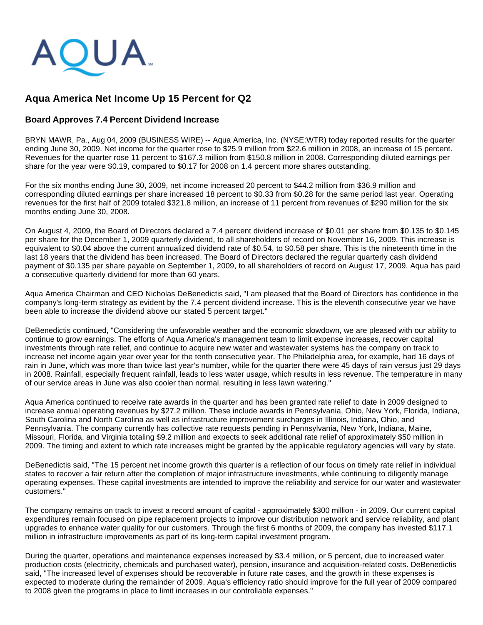

# **Aqua America Net Income Up 15 Percent for Q2**

# **Board Approves 7.4 Percent Dividend Increase**

BRYN MAWR, Pa., Aug 04, 2009 (BUSINESS WIRE) -- Aqua America, Inc. (NYSE:WTR) today reported results for the quarter ending June 30, 2009. Net income for the quarter rose to \$25.9 million from \$22.6 million in 2008, an increase of 15 percent. Revenues for the quarter rose 11 percent to \$167.3 million from \$150.8 million in 2008. Corresponding diluted earnings per share for the year were \$0.19, compared to \$0.17 for 2008 on 1.4 percent more shares outstanding.

For the six months ending June 30, 2009, net income increased 20 percent to \$44.2 million from \$36.9 million and corresponding diluted earnings per share increased 18 percent to \$0.33 from \$0.28 for the same period last year. Operating revenues for the first half of 2009 totaled \$321.8 million, an increase of 11 percent from revenues of \$290 million for the six months ending June 30, 2008.

On August 4, 2009, the Board of Directors declared a 7.4 percent dividend increase of \$0.01 per share from \$0.135 to \$0.145 per share for the December 1, 2009 quarterly dividend, to all shareholders of record on November 16, 2009. This increase is equivalent to \$0.04 above the current annualized dividend rate of \$0.54, to \$0.58 per share. This is the nineteenth time in the last 18 years that the dividend has been increased. The Board of Directors declared the regular quarterly cash dividend payment of \$0.135 per share payable on September 1, 2009, to all shareholders of record on August 17, 2009. Aqua has paid a consecutive quarterly dividend for more than 60 years.

Aqua America Chairman and CEO Nicholas DeBenedictis said, "I am pleased that the Board of Directors has confidence in the company's long-term strategy as evident by the 7.4 percent dividend increase. This is the eleventh consecutive year we have been able to increase the dividend above our stated 5 percent target."

DeBenedictis continued, "Considering the unfavorable weather and the economic slowdown, we are pleased with our ability to continue to grow earnings. The efforts of Aqua America's management team to limit expense increases, recover capital investments through rate relief, and continue to acquire new water and wastewater systems has the company on track to increase net income again year over year for the tenth consecutive year. The Philadelphia area, for example, had 16 days of rain in June, which was more than twice last year's number, while for the quarter there were 45 days of rain versus just 29 days in 2008. Rainfall, especially frequent rainfall, leads to less water usage, which results in less revenue. The temperature in many of our service areas in June was also cooler than normal, resulting in less lawn watering."

Aqua America continued to receive rate awards in the quarter and has been granted rate relief to date in 2009 designed to increase annual operating revenues by \$27.2 million. These include awards in Pennsylvania, Ohio, New York, Florida, Indiana, South Carolina and North Carolina as well as infrastructure improvement surcharges in Illinois, Indiana, Ohio, and Pennsylvania. The company currently has collective rate requests pending in Pennsylvania, New York, Indiana, Maine, Missouri, Florida, and Virginia totaling \$9.2 million and expects to seek additional rate relief of approximately \$50 million in 2009. The timing and extent to which rate increases might be granted by the applicable regulatory agencies will vary by state.

DeBenedictis said, "The 15 percent net income growth this quarter is a reflection of our focus on timely rate relief in individual states to recover a fair return after the completion of major infrastructure investments, while continuing to diligently manage operating expenses. These capital investments are intended to improve the reliability and service for our water and wastewater customers."

The company remains on track to invest a record amount of capital - approximately \$300 million - in 2009. Our current capital expenditures remain focused on pipe replacement projects to improve our distribution network and service reliability, and plant upgrades to enhance water quality for our customers. Through the first 6 months of 2009, the company has invested \$117.1 million in infrastructure improvements as part of its long-term capital investment program.

During the quarter, operations and maintenance expenses increased by \$3.4 million, or 5 percent, due to increased water production costs (electricity, chemicals and purchased water), pension, insurance and acquisition-related costs. DeBenedictis said, "The increased level of expenses should be recoverable in future rate cases, and the growth in these expenses is expected to moderate during the remainder of 2009. Aqua's efficiency ratio should improve for the full year of 2009 compared to 2008 given the programs in place to limit increases in our controllable expenses."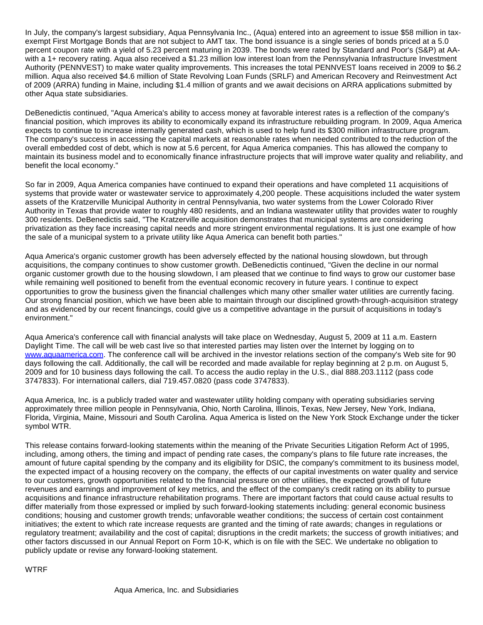In July, the company's largest subsidiary, Aqua Pennsylvania Inc., (Aqua) entered into an agreement to issue \$58 million in taxexempt First Mortgage Bonds that are not subject to AMT tax. The bond issuance is a single series of bonds priced at a 5.0 percent coupon rate with a yield of 5.23 percent maturing in 2039. The bonds were rated by Standard and Poor's (S&P) at AAwith a 1+ recovery rating. Aqua also received a \$1.23 million low interest loan from the Pennsylvania Infrastructure Investment Authority (PENNVEST) to make water quality improvements. This increases the total PENNVEST loans received in 2009 to \$6.2 million. Aqua also received \$4.6 million of State Revolving Loan Funds (SRLF) and American Recovery and Reinvestment Act of 2009 (ARRA) funding in Maine, including \$1.4 million of grants and we await decisions on ARRA applications submitted by other Aqua state subsidiaries.

DeBenedictis continued, "Aqua America's ability to access money at favorable interest rates is a reflection of the company's financial position, which improves its ability to economically expand its infrastructure rebuilding program. In 2009, Aqua America expects to continue to increase internally generated cash, which is used to help fund its \$300 million infrastructure program. The company's success in accessing the capital markets at reasonable rates when needed contributed to the reduction of the overall embedded cost of debt, which is now at 5.6 percent, for Aqua America companies. This has allowed the company to maintain its business model and to economically finance infrastructure projects that will improve water quality and reliability, and benefit the local economy."

So far in 2009, Aqua America companies have continued to expand their operations and have completed 11 acquisitions of systems that provide water or wastewater service to approximately 4,200 people. These acquisitions included the water system assets of the Kratzerville Municipal Authority in central Pennsylvania, two water systems from the Lower Colorado River Authority in Texas that provide water to roughly 480 residents, and an Indiana wastewater utility that provides water to roughly 300 residents. DeBenedictis said, "The Kratzerville acquisition demonstrates that municipal systems are considering privatization as they face increasing capital needs and more stringent environmental regulations. It is just one example of how the sale of a municipal system to a private utility like Aqua America can benefit both parties."

Aqua America's organic customer growth has been adversely effected by the national housing slowdown, but through acquisitions, the company continues to show customer growth. DeBenedictis continued, "Given the decline in our normal organic customer growth due to the housing slowdown, I am pleased that we continue to find ways to grow our customer base while remaining well positioned to benefit from the eventual economic recovery in future years. I continue to expect opportunities to grow the business given the financial challenges which many other smaller water utilities are currently facing. Our strong financial position, which we have been able to maintain through our disciplined growth-through-acquisition strategy and as evidenced by our recent financings, could give us a competitive advantage in the pursuit of acquisitions in today's environment."

Aqua America's conference call with financial analysts will take place on Wednesday, August 5, 2009 at 11 a.m. Eastern Daylight Time. The call will be web cast live so that interested parties may listen over the Internet by logging on to [www.aquaamerica.com](http://cts.businesswire.com/ct/CT?id=smartlink&url=http%3A%2F%2Fwww.aquaamerica.com&esheet=6022710&lan=en_US&anchor=www.aquaamerica.com&index=1). The conference call will be archived in the investor relations section of the company's Web site for 90 days following the call. Additionally, the call will be recorded and made available for replay beginning at 2 p.m. on August 5, 2009 and for 10 business days following the call. To access the audio replay in the U.S., dial 888.203.1112 (pass code 3747833). For international callers, dial 719.457.0820 (pass code 3747833).

Aqua America, Inc. is a publicly traded water and wastewater utility holding company with operating subsidiaries serving approximately three million people in Pennsylvania, Ohio, North Carolina, Illinois, Texas, New Jersey, New York, Indiana, Florida, Virginia, Maine, Missouri and South Carolina. Aqua America is listed on the New York Stock Exchange under the ticker symbol WTR.

This release contains forward-looking statements within the meaning of the Private Securities Litigation Reform Act of 1995, including, among others, the timing and impact of pending rate cases, the company's plans to file future rate increases, the amount of future capital spending by the company and its eligibility for DSIC, the company's commitment to its business model, the expected impact of a housing recovery on the company, the effects of our capital investments on water quality and service to our customers, growth opportunities related to the financial pressure on other utilities, the expected growth of future revenues and earnings and improvement of key metrics, and the effect of the company's credit rating on its ability to pursue acquisitions and finance infrastructure rehabilitation programs. There are important factors that could cause actual results to differ materially from those expressed or implied by such forward-looking statements including: general economic business conditions; housing and customer growth trends; unfavorable weather conditions; the success of certain cost containment initiatives; the extent to which rate increase requests are granted and the timing of rate awards; changes in regulations or regulatory treatment; availability and the cost of capital; disruptions in the credit markets; the success of growth initiatives; and other factors discussed in our Annual Report on Form 10-K, which is on file with the SEC. We undertake no obligation to publicly update or revise any forward-looking statement.

WTRF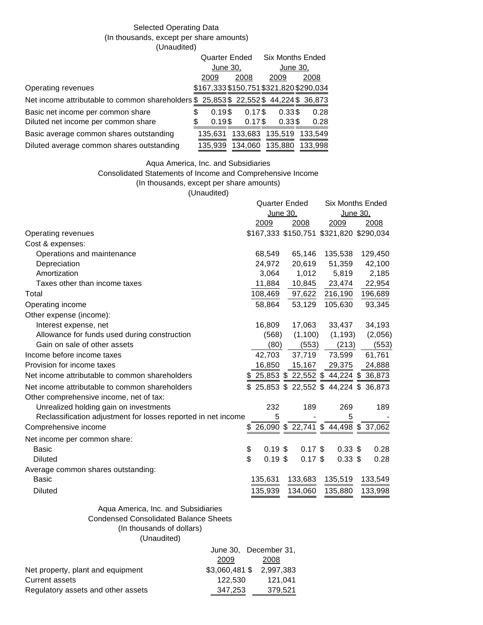# Selected Operating Data (In thousands, except per share amounts) (Unaudited)

|                                                                                        |   | <b>Quarter Ended</b>                    |  |           | <b>Six Months Ended</b> |                 |  |         |
|----------------------------------------------------------------------------------------|---|-----------------------------------------|--|-----------|-------------------------|-----------------|--|---------|
|                                                                                        |   | June 30,                                |  |           | June 30,                |                 |  |         |
|                                                                                        |   | 2009                                    |  | 2008      |                         | 2009            |  | 2008    |
| Operating revenues                                                                     |   | \$167,333 \$150,751 \$321,820 \$290,034 |  |           |                         |                 |  |         |
| Net income attributable to common shareholders \$ 25,853 \$ 22,552 \$ 44,224 \$ 36,873 |   |                                         |  |           |                         |                 |  |         |
| Basic net income per common share                                                      | S | $0.19$ \$                               |  | $0.17$ \$ |                         | 0.33\$          |  | 0.28    |
| Diluted net income per common share                                                    | S | $0.19$ \$                               |  | $0.17$ \$ |                         | 0.33\$          |  | 0.28    |
| Basic average common shares outstanding                                                |   | 135.631                                 |  |           |                         | 133,683 135,519 |  | 133.549 |
| Diluted average common shares outstanding                                              |   | 135.939                                 |  | 134,060   |                         | 135,880         |  | 133.998 |

### Aqua America, Inc. and Subsidiaries

#### Consolidated Statements of Income and Comprehensive Income

(In thousands, except per share amounts)

(Unaudited)

|                                                               |                            | <b>Quarter Ended</b> | <b>Six Months Ended</b>                 |             |  |  |
|---------------------------------------------------------------|----------------------------|----------------------|-----------------------------------------|-------------|--|--|
|                                                               |                            | June 30,             | June 30,                                |             |  |  |
|                                                               | 2009                       | 2008                 | 2009                                    | <u>2008</u> |  |  |
| Operating revenues                                            |                            |                      | \$167,333 \$150,751 \$321,820 \$290,034 |             |  |  |
| Cost & expenses:                                              |                            |                      |                                         |             |  |  |
| Operations and maintenance                                    | 68,549                     | 65,146               | 135,538                                 | 129,450     |  |  |
| Depreciation                                                  | 24,972                     | 20,619               | 51,359                                  | 42,100      |  |  |
| Amortization                                                  | 3,064                      | 1,012                | 5,819                                   | 2,185       |  |  |
| Taxes other than income taxes                                 | 11,884                     | 10,845               | 23,474                                  | 22,954      |  |  |
| Total                                                         | 108,469                    | 97,622               | 216,190                                 | 196,689     |  |  |
| Operating income                                              | 58,864                     | 53,129               | 105,630                                 | 93,345      |  |  |
| Other expense (income):                                       |                            |                      |                                         |             |  |  |
| Interest expense, net                                         | 16,809                     | 17,063               | 33,437                                  | 34,193      |  |  |
| Allowance for funds used during construction                  | (568)                      | (1,100)              | (1, 193)                                | (2,056)     |  |  |
| Gain on sale of other assets                                  | (80)                       | (553)                | (213)                                   | (553)       |  |  |
| Income before income taxes                                    | 42,703                     | 37,719               | 73,599                                  | 61,761      |  |  |
| Provision for income taxes                                    | 16,850                     | 15,167               | 29,375                                  | 24,888      |  |  |
| Net income attributable to common shareholders                |                            |                      | 25,853 \$ 22,552 \$ 44,224 \$ 36,873    |             |  |  |
| Net income attributable to common shareholders                | \$.                        |                      | 25,853 \$ 22,552 \$ 44,224 \$ 36,873    |             |  |  |
| Other comprehensive income, net of tax:                       |                            |                      |                                         |             |  |  |
| Unrealized holding gain on investments                        | 232                        | 189                  | 269                                     | 189         |  |  |
| Reclassification adjustment for losses reported in net income | 5                          |                      | 5                                       |             |  |  |
| Comprehensive income                                          |                            |                      | \$ 26,090 \$ 22,741 \$ 44,498 \$ 37,062 |             |  |  |
| Net income per common share:                                  |                            |                      |                                         |             |  |  |
| <b>Basic</b>                                                  | \$<br>$0.19$ \$            | $0.17$ \$            | $0.33$ \$                               | 0.28        |  |  |
| <b>Diluted</b>                                                | $\mathbf{\$}$<br>$0.19$ \$ | $0.17$ \$            | $0.33$ \$                               | 0.28        |  |  |
| Average common shares outstanding:                            |                            |                      |                                         |             |  |  |
| <b>Basic</b>                                                  | 135,631                    | 133,683              | 135,519                                 | 133,549     |  |  |
| <b>Diluted</b>                                                | 135,939                    | 134,060              | 135,880                                 | 133,998     |  |  |
|                                                               |                            |                      |                                         |             |  |  |

# Aqua America, Inc. and Subsidiaries Condensed Consolidated Balance Sheets (In thousands of dollars) (Unaudited)

|                                    | June 30, December 31, |                         |  |  |
|------------------------------------|-----------------------|-------------------------|--|--|
|                                    | 2009                  | 2008                    |  |  |
| Net property, plant and equipment  |                       | \$3.060.481 \$2.997.383 |  |  |
| Current assets                     | 122.530               | 121.041                 |  |  |
| Regulatory assets and other assets | 347.253               | 379.521                 |  |  |